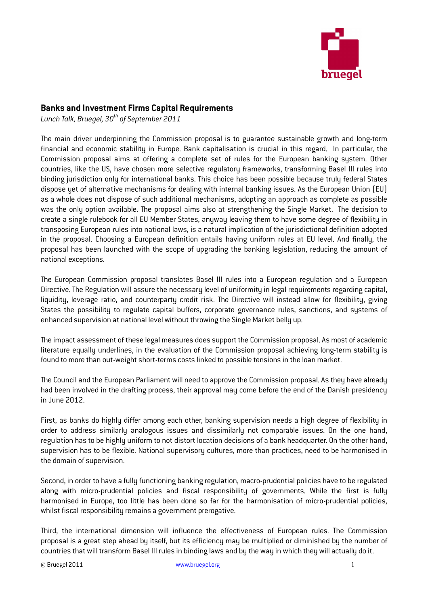

## Banks and Investment Firms Capital Requirements

Lunch Talk, Bruegel,  $30<sup>th</sup>$  of September 2011

The main driver underpinning the Commission proposal is to guarantee sustainable growth and long-term financial and economic stability in Europe. Bank capitalisation is crucial in this regard. In particular, the Commission proposal aims at offering a complete set of rules for the European banking system. Other countries, like the US, have chosen more selective regulatory frameworks, transforming Basel III rules into binding jurisdiction only for international banks. This choice has been possible because truly federal States dispose yet of alternative mechanisms for dealing with internal banking issues. As the European Union (EU) as a whole does not dispose of such additional mechanisms, adopting an approach as complete as possible was the only option available. The proposal aims also at strengthening the Single Market. The decision to create a single rulebook for all EU Member States, anyway leaving them to have some degree of flexibility in transposing European rules into national laws, is a natural implication of the jurisdictional definition adopted in the proposal. Choosing a European definition entails having uniform rules at EU level. And finally, the proposal has been launched with the scope of upgrading the banking legislation, reducing the amount of national exceptions.

The European Commission proposal translates Basel III rules into a European regulation and a European Directive. The Regulation will assure the necessary level of uniformity in legal requirements regarding capital, liquidity, leverage ratio, and counterparty credit risk. The Directive will instead allow for flexibility, giving States the possibility to regulate capital buffers, corporate governance rules, sanctions, and systems of enhanced supervision at national level without throwing the Single Market belly up.

The impact assessment of these legal measures does support the Commission proposal. As most of academic literature equally underlines, in the evaluation of the Commission proposal achieving long-term stability is found to more than out-weight short-terms costs linked to possible tensions in the loan market.

The Council and the European Parliament will need to approve the Commission proposal. As they have already had been involved in the drafting process, their approval may come before the end of the Danish presidency in June 2012.

First, as banks do highly differ among each other, banking supervision needs a high degree of flexibility in order to address similarly analogous issues and dissimilarly not comparable issues. On the one hand, regulation has to be highly uniform to not distort location decisions of a bank headquarter. On the other hand, supervision has to be flexible. National supervisory cultures, more than practices, need to be harmonised in the domain of supervision.

Second, in order to have a fully functioning banking regulation, macro-prudential policies have to be regulated along with micro-prudential policies and fiscal responsibility of governments. While the first is fully harmonised in Europe, too little has been done so far for the harmonisation of micro-prudential policies, whilst fiscal responsibility remains a government prerogative.

Third, the international dimension will influence the effectiveness of European rules. The Commission proposal is a great step ahead by itself, but its efficiency may be multiplied or diminished by the number of countries that will transform Basel III rules in binding laws and by the way in which they will actually do it.